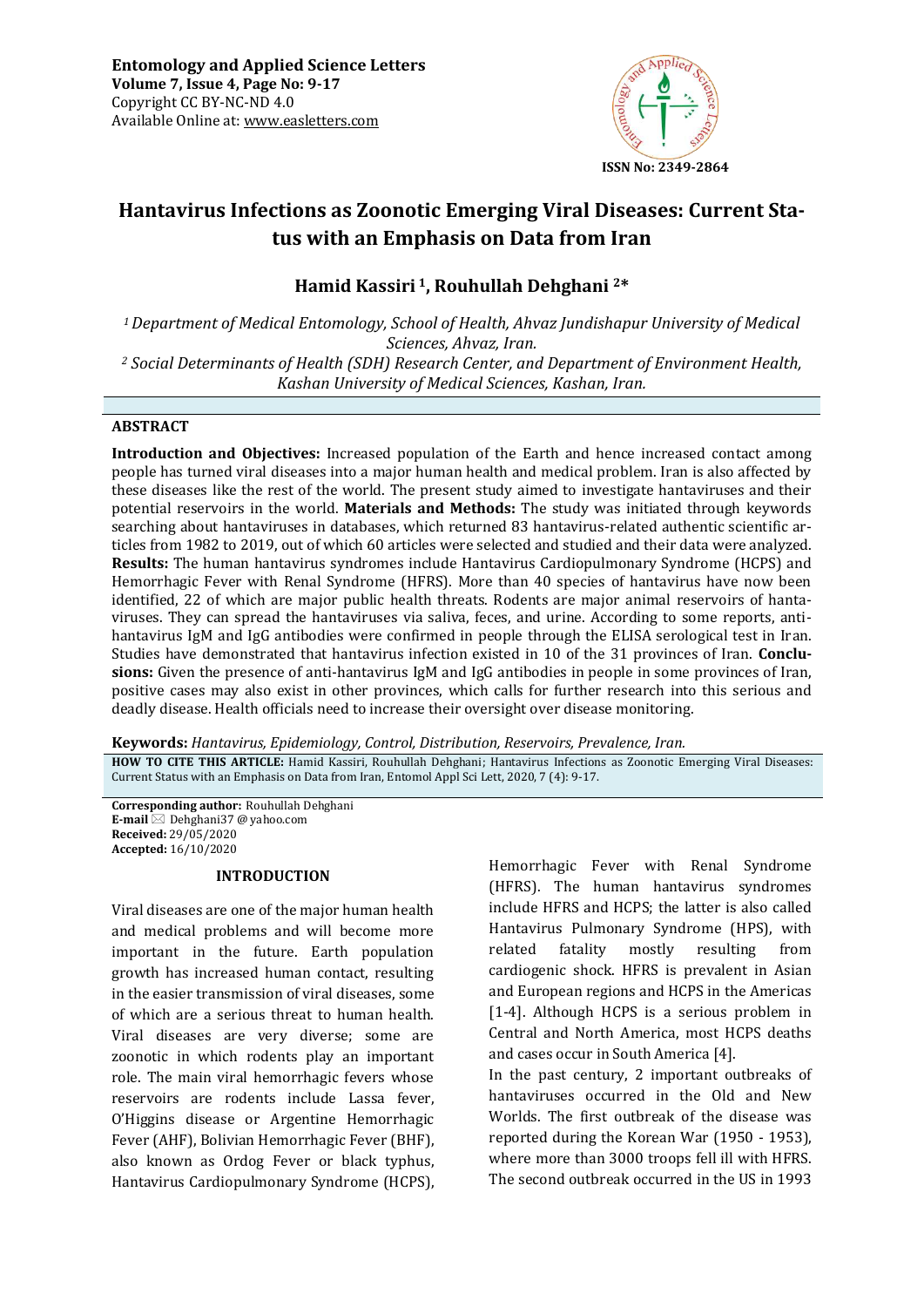

# **Hantavirus Infections as Zoonotic Emerging Viral Diseases: Current Status with an Emphasis on Data from Iran**

## **Hamid Kassiri 1, Rouhullah Dehghani 2\***

*<sup>1</sup>Department of Medical Entomology, School of Health, Ahvaz Jundishapur University of Medical Sciences, Ahvaz, Iran.* 

*<sup>2</sup> Social Determinants of Health (SDH) Research Center, and Department of Environment Health, Kashan University of Medical Sciences, Kashan, Iran.* 

## **ABSTRACT**

**Introduction and Objectives:** Increased population of the Earth and hence increased contact among people has turned viral diseases into a major human health and medical problem. Iran is also affected by these diseases like the rest of the world. The present study aimed to investigate hantaviruses and their potential reservoirs in the world. **Materials and Methods:** The study was initiated through keywords searching about hantaviruses in databases, which returned 83 hantavirus-related authentic scientific articles from 1982 to 2019, out of which 60 articles were selected and studied and their data were analyzed. **Results:** The human hantavirus syndromes include Hantavirus Cardiopulmonary Syndrome (HCPS) and Hemorrhagic Fever with Renal Syndrome (HFRS). More than 40 species of hantavirus have now been identified, 22 of which are major public health threats. Rodents are major animal reservoirs of hantaviruses. They can spread the hantaviruses via saliva, feces, and urine. According to some reports, antihantavirus IgM and IgG antibodies were confirmed in people through the ELISA serological test in Iran. Studies have demonstrated that hantavirus infection existed in 10 of the 31 provinces of Iran. **Conclusions:** Given the presence of anti-hantavirus IgM and IgG antibodies in people in some provinces of Iran, positive cases may also exist in other provinces, which calls for further research into this serious and deadly disease. Health officials need to increase their oversight over disease monitoring.

**Keywords:** *Hantavirus, Epidemiology, Control, Distribution, Reservoirs, Prevalence, Iran.*

**HOW TO CITE THIS ARTICLE:** Hamid Kassiri, Rouhullah Dehghani; Hantavirus Infections as Zoonotic Emerging Viral Diseases: Current Status with an Emphasis on Data from Iran, Entomol Appl Sci Lett, 2020, 7 (4): 9-17.

**Corresponding author:** Rouhullah Dehghani **E-mail** ⊠ Dehghani37 @ yahoo.com **Received:** 29/05/2020 **Accepted:** 16/10/2020

## **INTRODUCTION**

Viral diseases are one of the major human health and medical problems and will become more important in the future. Earth population growth has increased human contact, resulting in the easier transmission of viral diseases, some of which are a serious threat to human health. Viral diseases are very diverse; some are zoonotic in which rodents play an important role. The main viral hemorrhagic fevers whose reservoirs are rodents include Lassa fever, O'Higgins disease or Argentine Hemorrhagic Fever (AHF), Bolivian Hemorrhagic Fever (BHF), also known as Ordog Fever or black typhus, Hantavirus Cardiopulmonary Syndrome (HCPS), Hemorrhagic Fever with Renal Syndrome (HFRS). The human hantavirus syndromes include HFRS and HCPS; the latter is also called Hantavirus Pulmonary Syndrome (HPS), with related fatality mostly resulting from cardiogenic shock. HFRS is prevalent in Asian and European regions and HCPS in the Americas [1-4]. Although HCPS is a serious problem in Central and North America, most HCPS deaths and cases occur in South America [4].

In the past century, 2 important outbreaks of hantaviruses occurred in the Old and New Worlds. The first outbreak of the disease was reported during the Korean War (1950 - 1953), where more than 3000 troops fell ill with HFRS. The second outbreak occurred in the US in 1993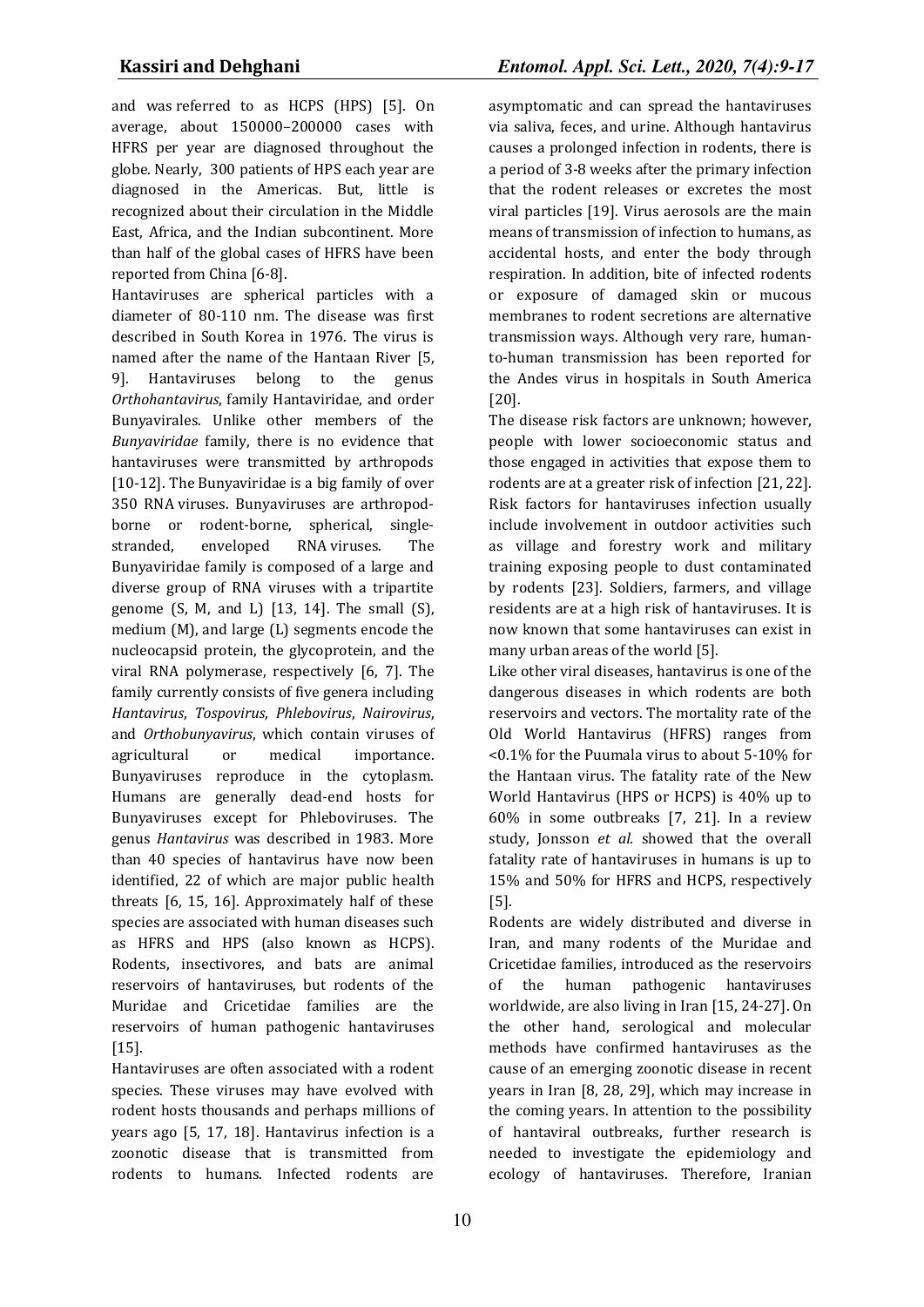and was referred to as HCPS (HPS) [5]. On average, about 150000–200000 cases with HFRS per year are diagnosed throughout the globe. Nearly, 300 patients of HPS each year are diagnosed in the Americas. But, little is recognized about their circulation in the Middle East, Africa, and the Indian subcontinent. More than half of the global cases of HFRS have been reported from China [6-8].

Hantaviruses are spherical particles with a diameter of 80-110 nm. The disease was first described in South Korea in 1976. The virus is named after the name of the Hantaan River [5, 9]. Hantaviruses belong to the genus *Orthohantavirus*, family Hantaviridae, and order Bunyavirales. Unlike other members of the *Bunyaviridae* family, there is no evidence that hantaviruses were transmitted by arthropods [10-12]. The Bunyaviridae is a big family of over 350 RNA viruses. Bunyaviruses are arthropodborne or rodent-borne, spherical, singlestranded, enveloped RNA viruses. The Bunyaviridae family is composed of a large and diverse group of RNA viruses with a tripartite genome (S, M, and L) [13, 14]. The small (S), medium (M), and large (L) segments encode the nucleocapsid protein, the glycoprotein, and the viral RNA polymerase, respectively [6, 7]. The family currently consists of five genera including *Hantavirus*, *Tospovirus*, *Phlebovirus*, *Nairovirus*, and *Orthobunyavirus*, which contain viruses of agricultural or medical importance. Bunyaviruses reproduce in the cytoplasm. Humans are generally dead-end hosts for Bunyaviruses except for Phleboviruses. The genus *Hantavirus* was described in 1983. More than 40 species of hantavirus have now been identified, 22 of which are major public health threats [6, 15, 16]. Approximately half of these species are associated with human diseases such as HFRS and HPS (also known as HCPS). Rodents, insectivores, and bats are animal reservoirs of hantaviruses, but rodents of the Muridae and Cricetidae families are the reservoirs of human pathogenic hantaviruses [15].

Hantaviruses are often associated with a rodent species. These viruses may have evolved with rodent hosts thousands and perhaps millions of years ago [5, 17, 18]. Hantavirus infection is a zoonotic disease that is transmitted from rodents to humans. Infected rodents are

asymptomatic and can spread the hantaviruses via saliva, feces, and urine. Although hantavirus causes a prolonged infection in rodents, there is a period of 3-8 weeks after the primary infection that the rodent releases or excretes the most viral particles [19]. Virus aerosols are the main means of transmission of infection to humans, as accidental hosts, and enter the body through respiration. In addition, bite of infected rodents or exposure of damaged skin or mucous membranes to rodent secretions are alternative transmission ways. Although very rare, humanto-human transmission has been reported for the Andes virus in hospitals in South America [20].

The disease risk factors are unknown; however, people with lower socioeconomic status and those engaged in activities that expose them to rodents are at a greater risk of infection [21, 22]. Risk factors for hantaviruses infection usually include involvement in outdoor activities such as village and forestry work and military training exposing people to dust contaminated by rodents [23]. Soldiers, farmers, and village residents are at a high risk of hantaviruses. It is now known that some hantaviruses can exist in many urban areas of the world [5].

Like other viral diseases, hantavirus is one of the dangerous diseases in which rodents are both reservoirs and vectors. The mortality rate of the Old World Hantavirus (HFRS) ranges from <0.1% for the Puumala virus to about 5-10% for the Hantaan virus. The fatality rate of the New World Hantavirus (HPS or HCPS) is 40% up to 60% in some outbreaks [7, 21]. In a review study, Jonsson *et al.* showed that the overall fatality rate of hantaviruses in humans is up to 15% and 50% for HFRS and HCPS, respectively [5].

Rodents are widely distributed and diverse in Iran, and many rodents of the Muridae and Cricetidae families, introduced as the reservoirs of the human pathogenic hantaviruses worldwide, are also living in Iran [15, 24-27]. On the other hand, serological and molecular methods have confirmed hantaviruses as the cause of an emerging zoonotic disease in recent years in Iran [8, 28, 29], which may increase in the coming years. In attention to the possibility of hantaviral outbreaks, further research is needed to investigate the epidemiology and ecology of hantaviruses. Therefore, Iranian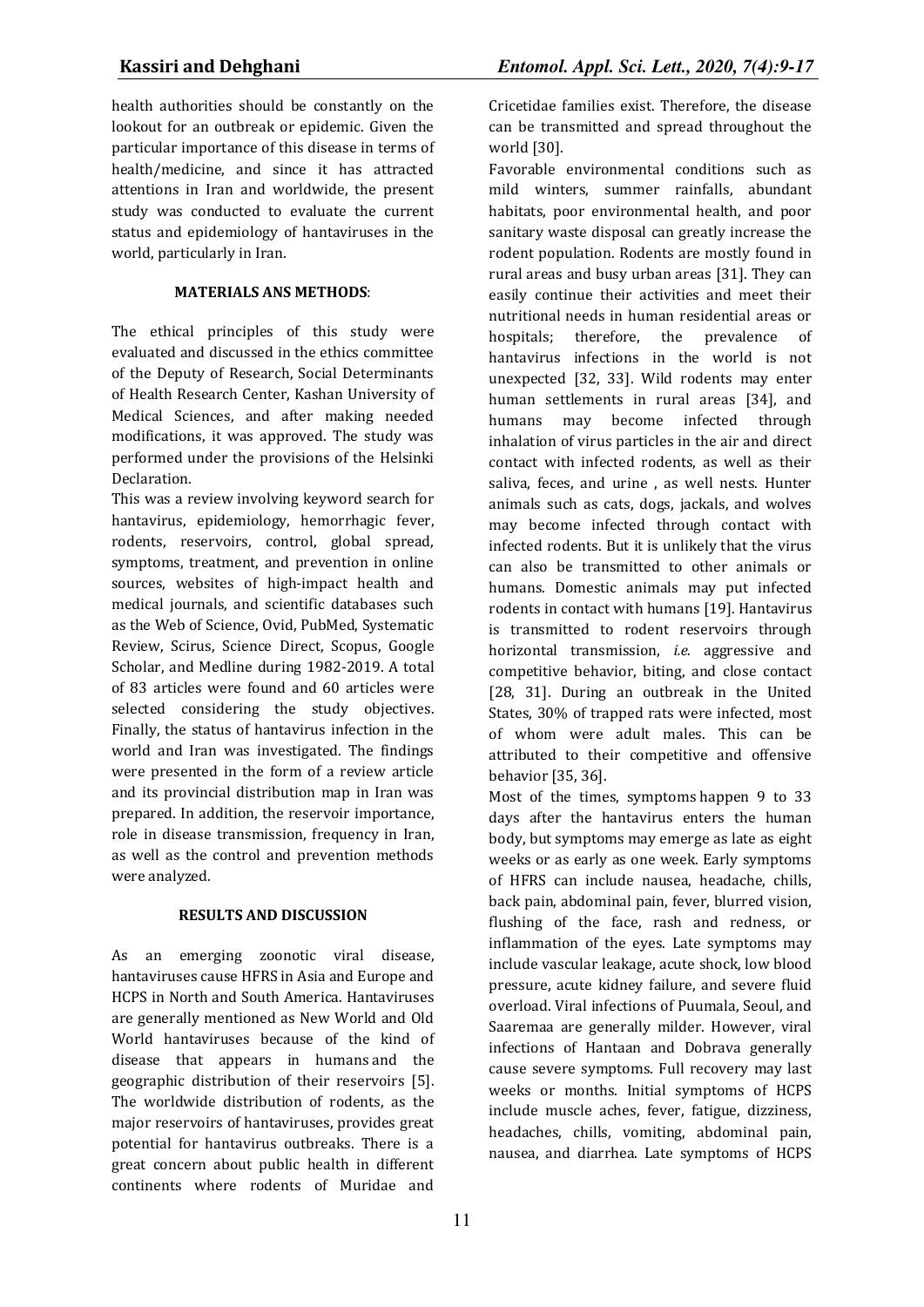health authorities should be constantly on the lookout for an outbreak or epidemic. Given the particular importance of this disease in terms of health/medicine, and since it has attracted attentions in Iran and worldwide, the present study was conducted to evaluate the current status and epidemiology of hantaviruses in the world, particularly in Iran.

## **MATERIALS ANS METHODS**:

The ethical principles of this study were evaluated and discussed in the ethics committee of the Deputy of Research, Social Determinants of Health Research Center, Kashan University of Medical Sciences, and after making needed modifications, it was approved. The study was performed under the provisions of the Helsinki Declaration.

This was a review involving keyword search for hantavirus, epidemiology, hemorrhagic fever, rodents, reservoirs, control, global spread, symptoms, treatment, and prevention in online sources, websites of high-impact health and medical journals, and scientific databases such as the Web of Science, Ovid, PubMed, Systematic Review, Scirus, Science Direct, Scopus, Google Scholar, and Medline during 1982-2019. A total of 83 articles were found and 60 articles were selected considering the study objectives. Finally, the status of hantavirus infection in the world and Iran was investigated. The findings were presented in the form of a review article and its provincial distribution map in Iran was prepared. In addition, the reservoir importance, role in disease transmission, frequency in Iran, as well as the control and prevention methods were analyzed.

## **RESULTS AND DISCUSSION**

As an emerging zoonotic viral disease, hantaviruses cause HFRS in Asia and Europe and HCPS in North and South America. Hantaviruses are generally mentioned as New World and Old World hantaviruses because of the kind of disease that appears in humans and the geographic distribution of their reservoirs [5]. The worldwide distribution of rodents, as the major reservoirs of hantaviruses, provides great potential for hantavirus outbreaks. There is a great concern about public health in different continents where rodents of Muridae and

Cricetidae families exist. Therefore, the disease can be transmitted and spread throughout the world [30].

Favorable environmental conditions such as mild winters, summer rainfalls, abundant habitats, poor environmental health, and poor sanitary waste disposal can greatly increase the rodent population. Rodents are mostly found in rural areas and busy urban areas [31]. They can easily continue their activities and meet their nutritional needs in human residential areas or hospitals; therefore, the prevalence of hantavirus infections in the world is not unexpected [32, 33]. Wild rodents may enter human settlements in rural areas [34], and humans may become infected through inhalation of virus particles in the air and direct contact with infected rodents, as well as their saliva, feces, and urine , as well nests. Hunter animals such as cats, dogs, jackals, and wolves may become infected through contact with infected rodents. But it is unlikely that the virus can also be transmitted to other animals or humans. Domestic animals may put infected rodents in contact with humans [19]. Hantavirus is transmitted to rodent reservoirs through horizontal transmission, *i.e.* aggressive and competitive behavior, biting, and close contact [28, 31]. During an outbreak in the United States, 30% of trapped rats were infected, most of whom were adult males. This can be attributed to their competitive and offensive behavior [35, 36].

Most of the times, symptoms happen 9 to 33 days after the hantavirus enters the human body, but symptoms may emerge as late as eight weeks or as early as one week. Early symptoms of HFRS can include nausea, headache, chills, back pain, abdominal pain, fever, blurred vision, flushing of the face, rash and redness, or inflammation of the eyes. Late symptoms may include vascular leakage, acute shock, low blood pressure, acute kidney failure, and severe fluid overload. Viral infections of Puumala, Seoul, and Saaremaa are generally milder. However, viral infections of Hantaan and Dobrava generally cause severe symptoms. Full recovery may last weeks or months. Initial symptoms of HCPS include muscle aches, fever, fatigue, dizziness, headaches, chills, vomiting, abdominal pain, nausea, and diarrhea. Late symptoms of HCPS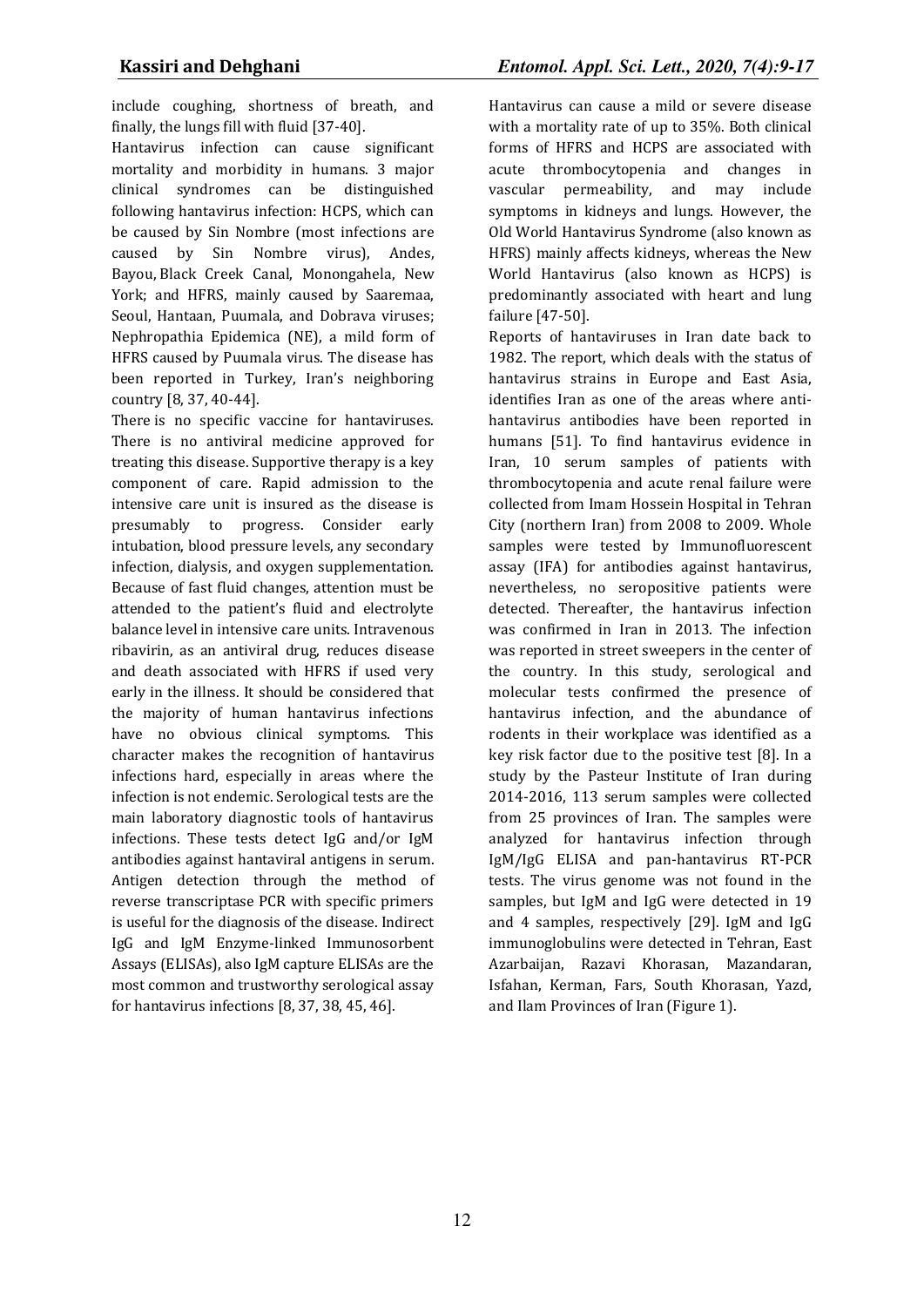include coughing, shortness of breath, and finally, the lungs fill with fluid [37-40].

Hantavirus infection can cause significant mortality and morbidity in humans. 3 major clinical syndromes can be distinguished following hantavirus infection: HCPS, which can be caused by Sin Nombre (most infections are caused by Sin Nombre virus), Andes, Bayou, Black Creek Canal, Monongahela, New York; and HFRS, mainly caused by Saaremaa, Seoul, Hantaan, Puumala, and Dobrava viruses; Nephropathia Epidemica (NE), a mild form of HFRS caused by Puumala virus. The disease has been reported in Turkey, Iran's neighboring country [8, 37, 40-44].

There is no specific vaccine for hantaviruses. There is no antiviral medicine approved for treating this disease. Supportive therapy is a key component of care. Rapid admission to the intensive care unit is insured as the disease is presumably to progress. Consider early intubation, blood pressure levels, any secondary infection, dialysis, and oxygen supplementation. Because of fast fluid changes, attention must be attended to the patient's fluid and electrolyte balance level in intensive care units. Intravenous ribavirin, as an antiviral drug, reduces disease and death associated with HFRS if used very early in the illness. It should be considered that the majority of human hantavirus infections have no obvious clinical symptoms. This character makes the recognition of hantavirus infections hard, especially in areas where the infection is not endemic. Serological tests are the main laboratory diagnostic tools of hantavirus infections. These tests detect IgG and/or IgM antibodies against hantaviral antigens in serum. Antigen detection through the method of reverse transcriptase PCR with specific primers is useful for the diagnosis of the disease. Indirect IgG and IgM Enzyme-linked Immunosorbent Assays (ELISAs), also IgM capture ELISAs are the most common and trustworthy serological assay for hantavirus infections [8, 37, 38, 45, 46].

Hantavirus can cause a mild or severe disease with a mortality rate of up to 35%. Both clinical forms of HFRS and HCPS are associated with acute thrombocytopenia and changes in vascular permeability, and may include symptoms in kidneys and lungs. However, the Old World Hantavirus Syndrome (also known as HFRS) mainly affects kidneys, whereas the New World Hantavirus (also known as HCPS) is predominantly associated with heart and lung failure [47-50].

Reports of hantaviruses in Iran date back to 1982. The report, which deals with the status of hantavirus strains in Europe and East Asia, identifies Iran as one of the areas where antihantavirus antibodies have been reported in humans [51]. To find hantavirus evidence in Iran, 10 serum samples of patients with thrombocytopenia and acute renal failure were collected from Imam Hossein Hospital in Tehran City (northern Iran) from 2008 to 2009. Whole samples were tested by Immunofluorescent assay (IFA) for antibodies against hantavirus, nevertheless, no seropositive patients were detected. Thereafter, the hantavirus infection was confirmed in Iran in 2013. The infection was reported in street sweepers in the center of the country. In this study, serological and molecular tests confirmed the presence of hantavirus infection, and the abundance of rodents in their workplace was identified as a key risk factor due to the positive test [8]. In a study by the Pasteur Institute of Iran during 2014-2016, 113 serum samples were collected from 25 provinces of Iran. The samples were analyzed for hantavirus infection through IgM/IgG ELISA and pan-hantavirus RT-PCR tests. The virus genome was not found in the samples, but IgM and IgG were detected in 19 and 4 samples, respectively [29]. IgM and IgG immunoglobulins were detected in Tehran, East Azarbaijan, Razavi Khorasan, Mazandaran, Isfahan, Kerman, Fars, South Khorasan, Yazd, and Ilam Provinces of Iran (Figure 1).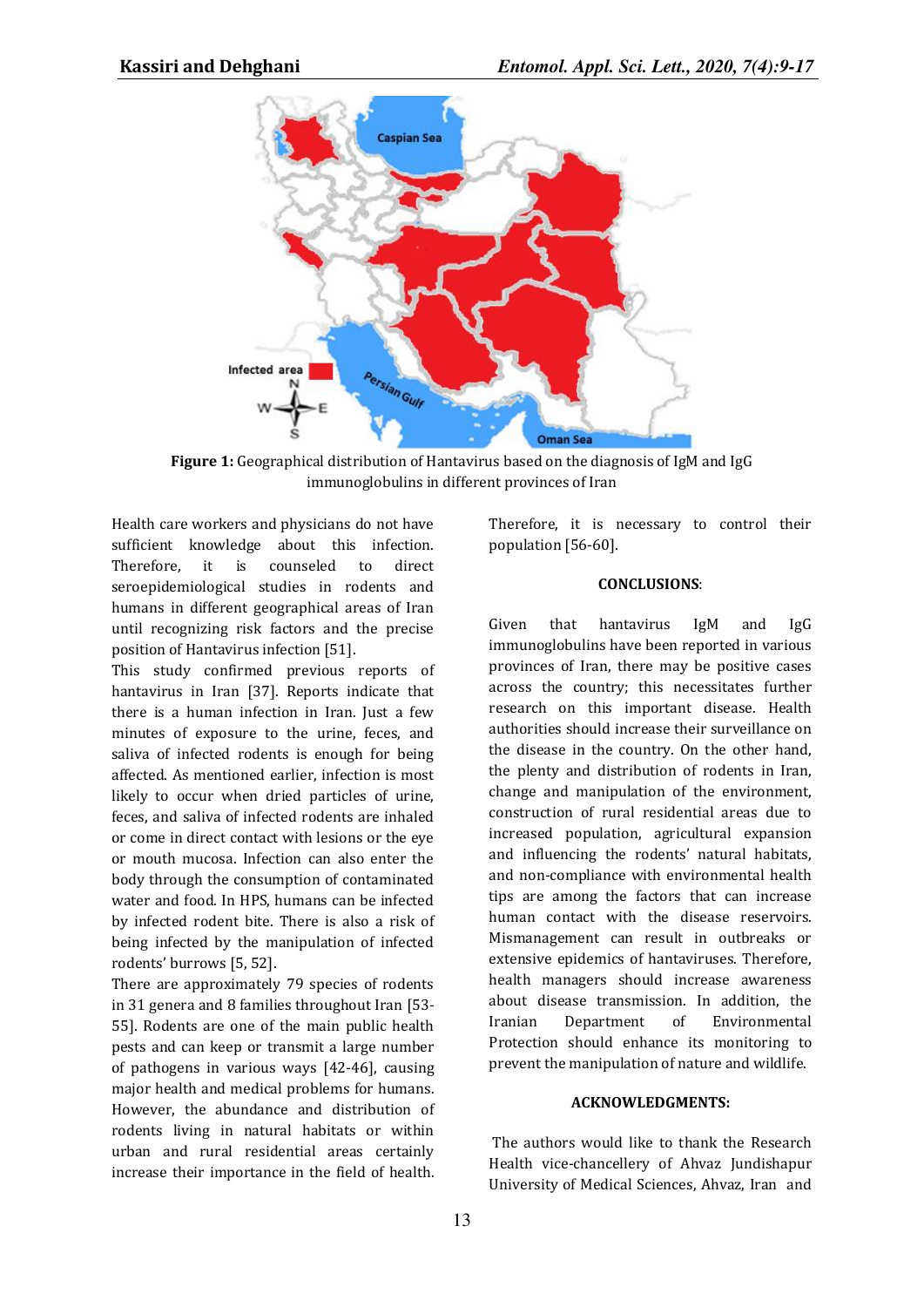

**Figure 1:** Geographical distribution of Hantavirus based on the diagnosis of IgM and IgG immunoglobulins in different provinces of Iran

Health care workers and physicians do not have sufficient knowledge about this infection. Therefore, it is counseled to direct seroepidemiological studies in rodents and humans in different geographical areas of Iran until recognizing risk factors and the precise position of Hantavirus infection [51].

This study confirmed previous reports of hantavirus in Iran [37]. Reports indicate that there is a human infection in Iran. Just a few minutes of exposure to the urine, feces, and saliva of infected rodents is enough for being affected. As mentioned earlier, infection is most likely to occur when dried particles of urine, feces, and saliva of infected rodents are inhaled or come in direct contact with lesions or the eye or mouth mucosa. Infection can also enter the body through the consumption of contaminated water and food. In HPS, humans can be infected by infected rodent bite. There is also a risk of being infected by the manipulation of infected rodents' burrows [5, 52].

There are approximately 79 species of rodents in 31 genera and 8 families throughout Iran [53- 55]. Rodents are one of the main public health pests and can keep or transmit a large number of pathogens in various ways [42-46], causing major health and medical problems for humans. However, the abundance and distribution of rodents living in natural habitats or within urban and rural residential areas certainly increase their importance in the field of health.

Therefore, it is necessary to control their population [56-60].

#### **CONCLUSIONS**:

Given that hantavirus IgM and IgG immunoglobulins have been reported in various provinces of Iran, there may be positive cases across the country; this necessitates further research on this important disease. Health authorities should increase their surveillance on the disease in the country. On the other hand, the plenty and distribution of rodents in Iran, change and manipulation of the environment, construction of rural residential areas due to increased population, agricultural expansion and influencing the rodents' natural habitats, and non-compliance with environmental health tips are among the factors that can increase human contact with the disease reservoirs. Mismanagement can result in outbreaks or extensive epidemics of hantaviruses. Therefore, health managers should increase awareness about disease transmission. In addition, the Iranian Department of Environmental Protection should enhance its monitoring to prevent the manipulation of nature and wildlife.

#### **ACKNOWLEDGMENTS:**

 The authors would like to thank the Research Health vice-chancellery of Ahvaz Jundishapur University of Medical Sciences, Ahvaz, Iran and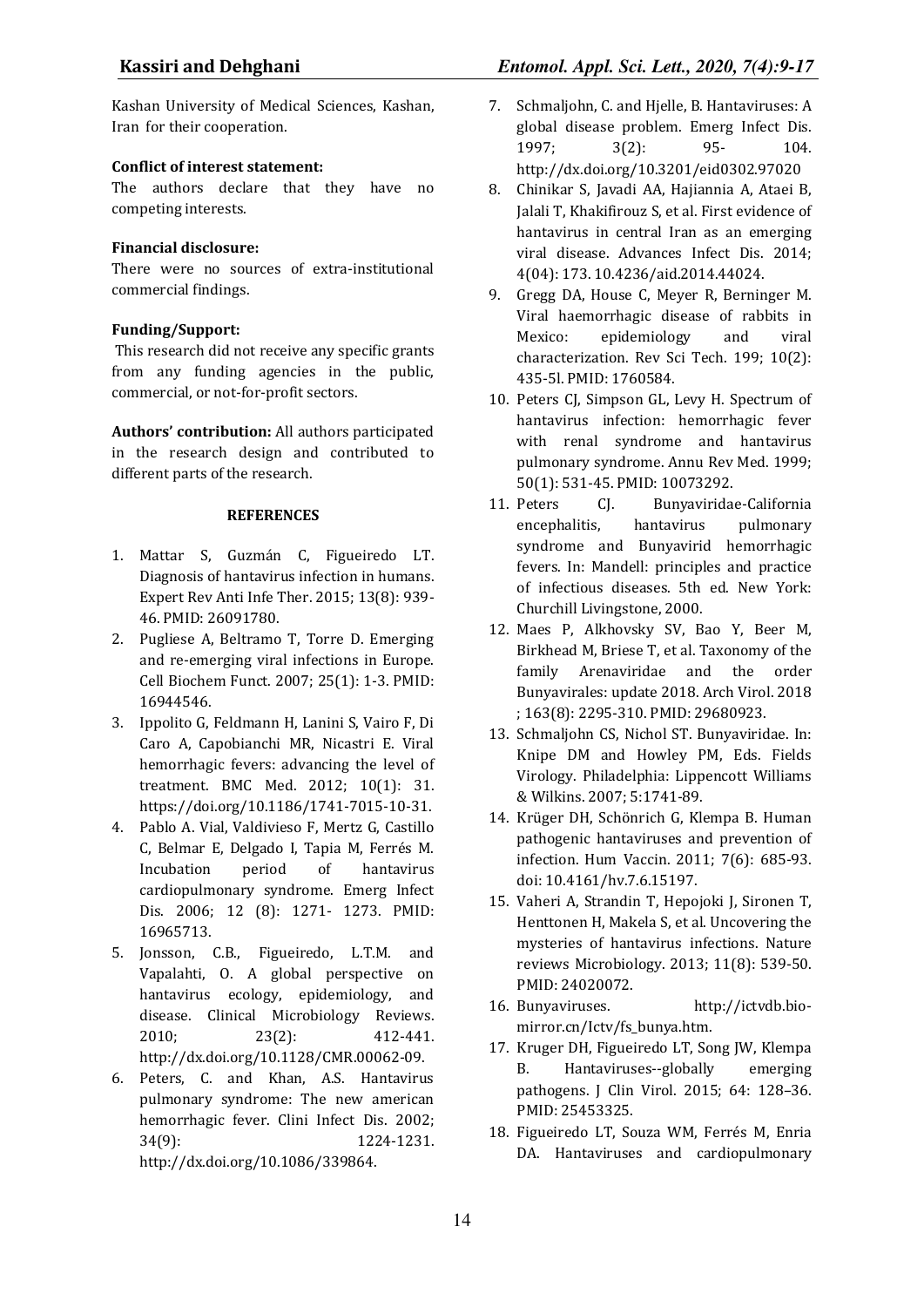Kashan University of Medical Sciences, Kashan, Iran for their cooperation.

## **Conflict of interest statement:**

The authors declare that they have no competing interests.

## **Financial disclosure:**

There were no sources of extra-institutional commercial findings.

## **Funding/Support:**

 This research did not receive any specific grants from any funding agencies in the public, commercial, or not-for-profit sectors.

**Authors' contribution:** All authors participated in the research design and contributed to different parts of the research.

## **REFERENCES**

- 1. Mattar S, Guzmán C, Figueiredo LT. Diagnosis of hantavirus infection in humans. Expert Rev Anti Infe Ther. 2015; 13(8): 939- 46. PMID: 26091780.
- 2. Pugliese A, Beltramo T, Torre D. Emerging and re‐emerging viral infections in Europe. Cell Biochem Funct. 2007; 25(1): 1-3. PMID: 16944546.
- 3. Ippolito G, Feldmann H, Lanini S, Vairo F, Di Caro A, Capobianchi MR, Nicastri E. Viral hemorrhagic fevers: advancing the level of treatment. BMC Med. 2012; 10(1): 31. https://doi.org/10.1186/1741-7015-10-31.
- 4. Pablo A. Vial, Valdivieso F, Mertz G, Castillo C, Belmar E, Delgado I, Tapia M, Ferrés M. Incubation period of hantavirus cardiopulmonary syndrome. Emerg Infect Dis. 2006; 12 (8): 1271- 1273. PMID: 16965713.
- 5. Jonsson, C.B., Figueiredo, L.T.M. and Vapalahti, O. A global perspective on hantavirus ecology, epidemiology, and disease. Clinical Microbiology Reviews. 2010; 23(2): 412-441. http://dx.doi.org/10.1128/CMR.00062-09.
- 6. Peters, C. and Khan, A.S. Hantavirus pulmonary syndrome: The new american hemorrhagic fever. Clini Infect Dis. 2002; 34(9): 1224-1231. http://dx.doi.org/10.1086/339864.
- 7. Schmaljohn, C. and Hjelle, B. Hantaviruses: A global disease problem. Emerg Infect Dis. 1997; 3(2): 95- 104. http://dx.doi.org/10.3201/eid0302.97020
- 8. Chinikar S, Javadi AA, Hajiannia A, Ataei B, Jalali T, Khakifirouz S, et al. First evidence of hantavirus in central Iran as an emerging viral disease. Advances Infect Dis. 2014; 4(04): 173. 10.4236/aid.2014.44024.
- 9. Gregg DA, House C, Meyer R, Berninger M. Viral haemorrhagic disease of rabbits in Mexico: epidemiology and viral characterization. Rev Sci Tech. 199; 10(2): 435-5l. PMID: 1760584.
- 10. Peters CJ, Simpson GL, Levy H. Spectrum of hantavirus infection: hemorrhagic fever with renal syndrome and hantavirus pulmonary syndrome. Annu Rev Med. 1999; 50(1): 531-45. PMID: 10073292.
- 11. Peters CJ. Bunyaviridae-California encephalitis, hantavirus pulmonary syndrome and Bunyavirid hemorrhagic fevers. In: Mandell: principles and practice of infectious diseases. 5th ed. New York: Churchill Livingstone, 2000.
- 12. Maes P, Alkhovsky SV, Bao Y, Beer M, Birkhead M, Briese T, et al. Taxonomy of the family Arenaviridae and the order Bunyavirales: update 2018. Arch Virol. 2018 ; 163(8): 2295-310. PMID: 29680923.
- 13. Schmaljohn CS, Nichol ST. Bunyaviridae. In: Knipe DM and Howley PM, Eds. Fields Virology. Philadelphia: Lippencott Williams & Wilkins. 2007; 5:1741-89.
- 14. Krüger DH, Schönrich G, Klempa B. Human pathogenic hantaviruses and prevention of infection. Hum Vaccin. 2011; 7(6): 685-93. doi: 10.4161/hv.7.6.15197.
- 15. Vaheri A, Strandin T, Hepojoki J, Sironen T, Henttonen H, Makela S, et al. Uncovering the mysteries of hantavirus infections. Nature reviews Microbiology. 2013; 11(8): 539-50. PMID: 24020072.
- 16. Bunyaviruses. http://ictvdb.biomirror.cn/Ictv/fs\_bunya.htm.
- 17. Kruger DH, Figueiredo LT, Song JW, Klempa B. Hantaviruses--globally emerging pathogens. J Clin Virol. 2015; 64: 128–36. PMID: 25453325.
- 18. Figueiredo LT, Souza WM, Ferrés M, Enria DA. Hantaviruses and cardiopulmonary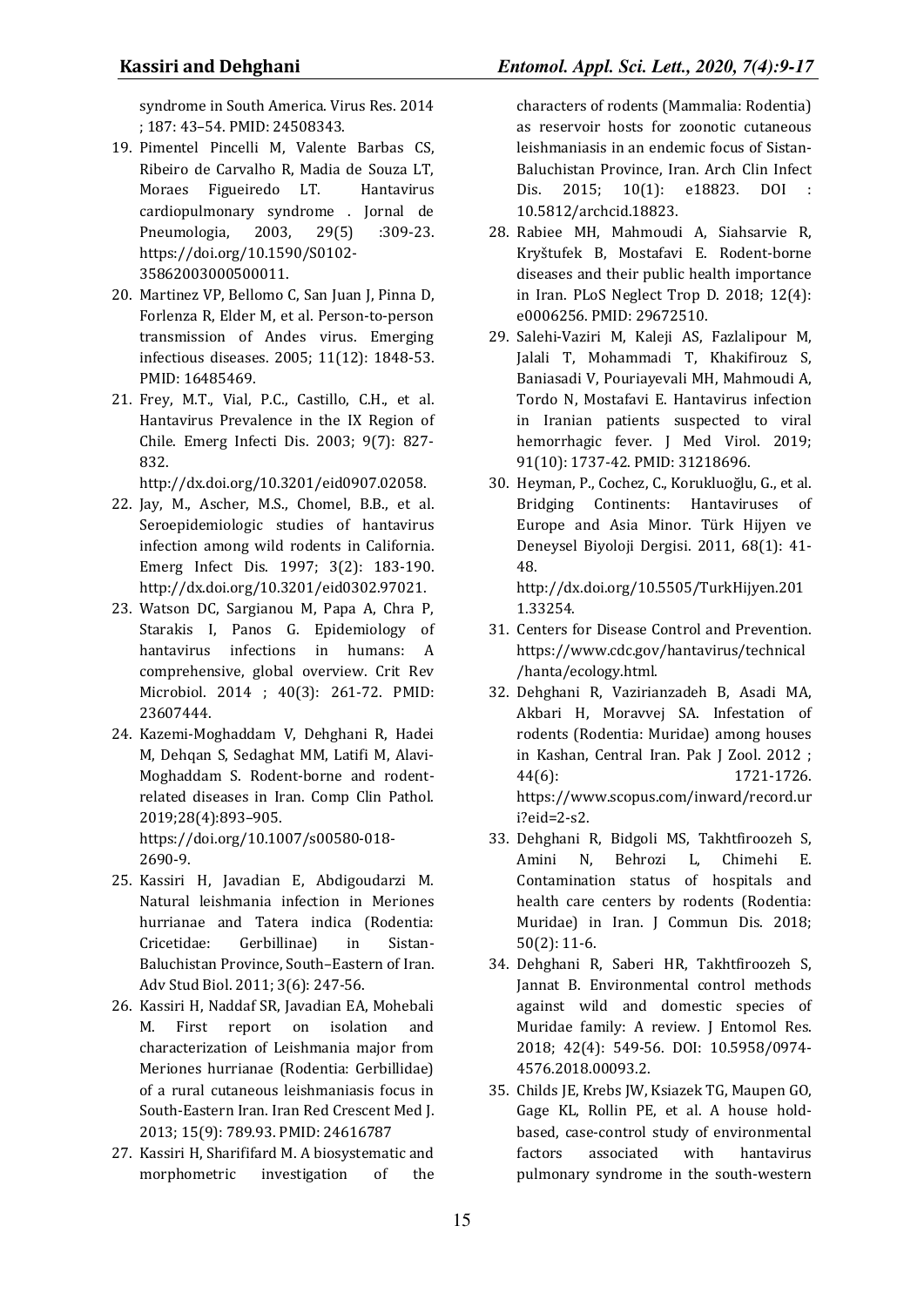syndrome in South America. Virus Res. 2014 ; 187: 43–54. PMID: 24508343.

- 19. Pimentel Pincelli M, Valente Barbas CS, Ribeiro de Carvalho R, Madia de Souza LT, Moraes Figueiredo LT. Hantavirus cardiopulmonary syndrome . Jornal de Pneumologia, 2003, 29(5) :309-23. https://doi.org/10.1590/S0102- 35862003000500011.
- 20. Martinez VP, Bellomo C, San Juan J, Pinna D, Forlenza R, Elder M, et al. Person-to-person transmission of Andes virus. Emerging infectious diseases. 2005; 11(12): 1848-53. PMID: 16485469.
- 21. Frey, M.T., Vial, P.C., Castillo, C.H., et al. Hantavirus Prevalence in the IX Region of Chile. Emerg Infecti Dis. 2003; 9(7): 827- 832.

http://dx.doi.org/10.3201/eid0907.02058.

- 22. Jay, M., Ascher, M.S., Chomel, B.B., et al. Seroepidemiologic studies of hantavirus infection among wild rodents in California. Emerg Infect Dis. 1997; 3(2): 183-190. http://dx.doi.org/10.3201/eid0302.97021.
- 23. Watson DC, Sargianou M, Papa A, Chra P, Starakis I, Panos G. Epidemiology of hantavirus infections in humans: A comprehensive, global overview. Crit Rev Microbiol. 2014 ; 40(3): 261-72. PMID: 23607444.
- 24. Kazemi-Moghaddam V, Dehghani R, Hadei M, Dehqan S, Sedaghat MM, Latifi M, Alavi-Moghaddam S. Rodent-borne and rodentrelated diseases in Iran. Comp Clin Pathol. 2019;28(4):893–905. https://doi.org/10.1007/s00580-018- 2690-9.
- 25. Kassiri H, Javadian E, Abdigoudarzi M. Natural leishmania infection in Meriones hurrianae and Tatera indica (Rodentia: Cricetidae: Gerbillinae) in Sistan-Baluchistan Province, South–Eastern of Iran. Adv Stud Biol. 2011; 3(6): 247-56.
- 26. Kassiri H, Naddaf SR, Javadian EA, Mohebali M. First report on isolation and characterization of Leishmania major from Meriones hurrianae (Rodentia: Gerbillidae) of a rural cutaneous leishmaniasis focus in South-Eastern Iran. Iran Red Crescent Med J. 2013; 15(9): 789.93. PMID: 24616787
- 27. Kassiri H, Sharififard M. A biosystematic and morphometric investigation of the

characters of rodents (Mammalia: Rodentia) as reservoir hosts for zoonotic cutaneous leishmaniasis in an endemic focus of Sistan-Baluchistan Province, Iran. Arch Clin Infect Dis. 2015; 10(1): e18823. DOI : 10.5812/archcid.18823.

- 28. Rabiee MH, Mahmoudi A, Siahsarvie R, Kryštufek B, Mostafavi E. Rodent-borne diseases and their public health importance in Iran. PLoS Neglect Trop D. 2018; 12(4): e0006256. PMID: 29672510.
- 29. Salehi‐Vaziri M, Kaleji AS, Fazlalipour M, Jalali T, Mohammadi T, Khakifirouz S, Baniasadi V, Pouriayevali MH, Mahmoudi A, Tordo N, Mostafavi E. Hantavirus infection in Iranian patients suspected to viral hemorrhagic fever. J Med Virol. 2019; 91(10): 1737-42. PMID: 31218696.
- 30. Heyman, P., Cochez, C., Korukluoğlu, G., et al. Bridging Continents: Hantaviruses of Europe and Asia Minor. Türk Hijyen ve Deneysel Biyoloji Dergisi. 2011, 68(1): 41- 48.

http://dx.doi.org/10.5505/TurkHijyen.201 1.33254.

- 31. Centers for Disease Control and Prevention. https://www.cdc.gov/hantavirus/technical /hanta/ecology.html.
- 32. Dehghani R, Vazirianzadeh B, Asadi MA, Akbari H, Moravvej SA. Infestation of rodents (Rodentia: Muridae) among houses in Kashan, Central Iran. Pak J Zool. 2012 ; 44(6): 1721-1726. https://www.scopus.com/inward/record.ur i?eid=2-s2.
- 33. Dehghani R, Bidgoli MS, Takhtfiroozeh S, Amini N, Behrozi L, Chimehi E. Contamination status of hospitals and health care centers by rodents (Rodentia: Muridae) in Iran. J Commun Dis. 2018; 50(2): 11-6.
- 34. Dehghani R, Saberi HR, Takhtfiroozeh S, Jannat B. Environmental control methods against wild and domestic species of Muridae family: A review. J Entomol Res. 2018; 42(4): 549-56. DOI: 10.5958/0974- 4576.2018.00093.2.
- 35. Childs JE, Krebs JW, Ksiazek TG, Maupen GO, Gage KL, Rollin PE, et al. A house holdbased, case-control study of environmental factors associated with hantavirus pulmonary syndrome in the south-western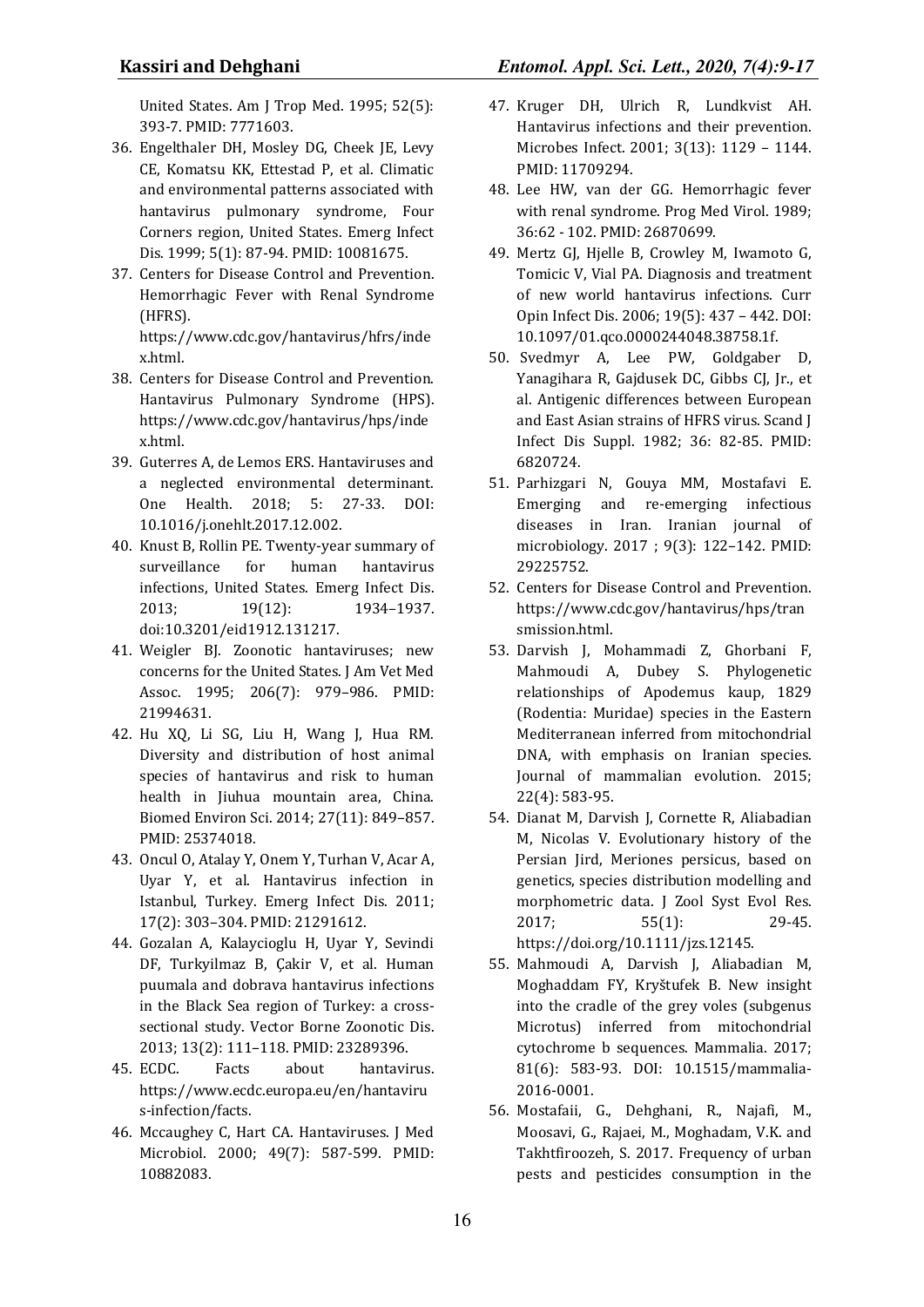United States. Am J Trop Med. 1995; 52(5): 393-7. PMID: 7771603.

- 36. Engelthaler DH, Mosley DG, Cheek JE, Levy CE, Komatsu KK, Ettestad P, et al. Climatic and environmental patterns associated with hantavirus pulmonary syndrome, Four Corners region, United States. Emerg Infect Dis. 1999; 5(1): 87-94. PMID: 10081675.
- 37. Centers for Disease Control and Prevention. Hemorrhagic Fever with Renal Syndrome (HFRS).

https://www.cdc.gov/hantavirus/hfrs/inde x.html.

- 38. Centers for Disease Control and Prevention. Hantavirus Pulmonary Syndrome (HPS). https://www.cdc.gov/hantavirus/hps/inde x.html.
- 39. Guterres A, de Lemos ERS. Hantaviruses and a neglected environmental determinant. One Health. 2018; 5: 27-33. DOI: 10.1016/j.onehlt.2017.12.002.
- 40. Knust B, Rollin PE. Twenty-year summary of surveillance for human hantavirus infections, United States. Emerg Infect Dis. 2013; 19(12): 1934–1937. doi:10.3201/eid1912.131217.
- 41. Weigler BJ. Zoonotic hantaviruses; new concerns for the United States. J Am Vet Med Assoc. 1995; 206(7): 979–986. PMID: 21994631.
- 42. Hu XQ, Li SG, Liu H, Wang J, Hua RM. Diversity and distribution of host animal species of hantavirus and risk to human health in Jiuhua mountain area, China. Biomed Environ Sci. 2014; 27(11): 849–857. PMID: 25374018.
- 43. Oncul O, Atalay Y, Onem Y, Turhan V, Acar A, Uyar Y, et al. Hantavirus infection in Istanbul, Turkey. Emerg Infect Dis. 2011; 17(2): 303–304. PMID: 21291612.
- 44. Gozalan A, Kalaycioglu H, Uyar Y, Sevindi DF, Turkyilmaz B, Çakir V, et al. Human puumala and dobrava hantavirus infections in the Black Sea region of Turkey: a crosssectional study. Vector Borne Zoonotic Dis. 2013; 13(2): 111–118. PMID: 23289396.
- 45. ECDC. Facts about hantavirus. https://www.ecdc.europa.eu/en/hantaviru s-infection/facts.
- 46. Mccaughey C, Hart CA. Hantaviruses. J Med Microbiol. 2000; 49(7): 587-599. PMID: 10882083.
- 47. Kruger DH, Ulrich R, Lundkvist AH. Hantavirus infections and their prevention. Microbes Infect. 2001; 3(13): 1129 – 1144. PMID: 11709294.
- 48. Lee HW, van der GG. Hemorrhagic fever with renal syndrome. Prog Med Virol. 1989; 36:62 - 102. PMID: 26870699.
- 49. Mertz GJ, Hjelle B, Crowley M, Iwamoto G, Tomicic V, Vial PA. Diagnosis and treatment of new world hantavirus infections. Curr Opin Infect Dis. 2006; 19(5): 437 – 442. DOI: 10.1097/01.qco.0000244048.38758.1f.
- 50. Svedmyr A, Lee PW, Goldgaber D, Yanagihara R, Gajdusek DC, Gibbs CJ, Jr., et al. Antigenic differences between European and East Asian strains of HFRS virus. Scand J Infect Dis Suppl. 1982; 36: 82-85. PMID: 6820724.
- 51. Parhizgari N, Gouya MM, Mostafavi E. Emerging and re-emerging infectious diseases in Iran. Iranian journal of microbiology. 2017 ; 9(3): 122–142. PMID: 29225752.
- 52. Centers for Disease Control and Prevention. https://www.cdc.gov/hantavirus/hps/tran smission.html.
- 53. Darvish J, Mohammadi Z, Ghorbani F, Mahmoudi A, Dubey S. Phylogenetic relationships of Apodemus kaup, 1829 (Rodentia: Muridae) species in the Eastern Mediterranean inferred from mitochondrial DNA, with emphasis on Iranian species. Journal of mammalian evolution. 2015; 22(4): 583-95.
- 54. Dianat M, Darvish J, Cornette R, Aliabadian M, Nicolas V. Evolutionary history of the Persian Jird, Meriones persicus, based on genetics, species distribution modelling and morphometric data. J Zool Syst Evol Res. 2017; 55(1): 29-45. https://doi.org/10.1111/jzs.12145.
- 55. Mahmoudi A, Darvish J, Aliabadian M, Moghaddam FY, Kryštufek B. New insight into the cradle of the grey voles (subgenus Microtus) inferred from mitochondrial cytochrome b sequences. Mammalia. 2017; 81(6): 583-93. DOI: 10.1515/mammalia-2016-0001.
- 56. Mostafaii, G., Dehghani, R., Najafi, M., Moosavi, G., Rajaei, M., Moghadam, V.K. and Takhtfiroozeh, S. 2017. Frequency of urban pests and pesticides consumption in the